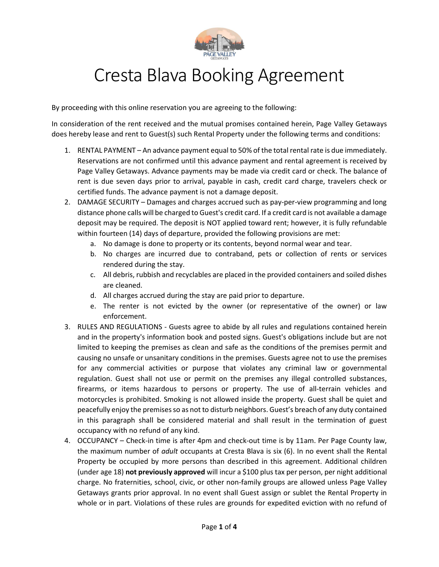

## Cresta Blava Booking Agreement

By proceeding with this online reservation you are agreeing to the following:

In consideration of the rent received and the mutual promises contained herein, Page Valley Getaways does hereby lease and rent to Guest(s) such Rental Property under the following terms and conditions:

- 1. RENTAL PAYMENT An advance payment equal to 50% of the total rental rate is due immediately. Reservations are not confirmed until this advance payment and rental agreement is received by Page Valley Getaways. Advance payments may be made via credit card or check. The balance of rent is due seven days prior to arrival, payable in cash, credit card charge, travelers check or certified funds. The advance payment is not a damage deposit.
- 2. DAMAGE SECURITY Damages and charges accrued such as pay-per-view programming and long distance phone calls will be charged to Guest's credit card. If a credit card is not available a damage deposit may be required. The deposit is NOT applied toward rent; however, it is fully refundable within fourteen (14) days of departure, provided the following provisions are met:
	- a. No damage is done to property or its contents, beyond normal wear and tear.
	- b. No charges are incurred due to contraband, pets or collection of rents or services rendered during the stay.
	- c. All debris, rubbish and recyclables are placed in the provided containers and soiled dishes are cleaned.
	- d. All charges accrued during the stay are paid prior to departure.
	- e. The renter is not evicted by the owner (or representative of the owner) or law enforcement.
- 3. RULES AND REGULATIONS Guests agree to abide by all rules and regulations contained herein and in the property's information book and posted signs. Guest's obligations include but are not limited to keeping the premises as clean and safe as the conditions of the premises permit and causing no unsafe or unsanitary conditions in the premises. Guests agree not to use the premises for any commercial activities or purpose that violates any criminal law or governmental regulation. Guest shall not use or permit on the premises any illegal controlled substances, firearms, or items hazardous to persons or property. The use of all-terrain vehicles and motorcycles is prohibited. Smoking is not allowed inside the property. Guest shall be quiet and peacefully enjoy the premises so as not to disturb neighbors. Guest's breach of any duty contained in this paragraph shall be considered material and shall result in the termination of guest occupancy with no refund of any kind.
- 4. OCCUPANCY Check-in time is after 4pm and check-out time is by 11am. Per Page County law, the maximum number of *adult* occupants at Cresta Blava is six (6). In no event shall the Rental Property be occupied by more persons than described in this agreement. Additional children (under age 18) not previously approved will incur a \$100 plus tax per person, per night additional charge. No fraternities, school, civic, or other non-family groups are allowed unless Page Valley Getaways grants prior approval. In no event shall Guest assign or sublet the Rental Property in whole or in part. Violations of these rules are grounds for expedited eviction with no refund of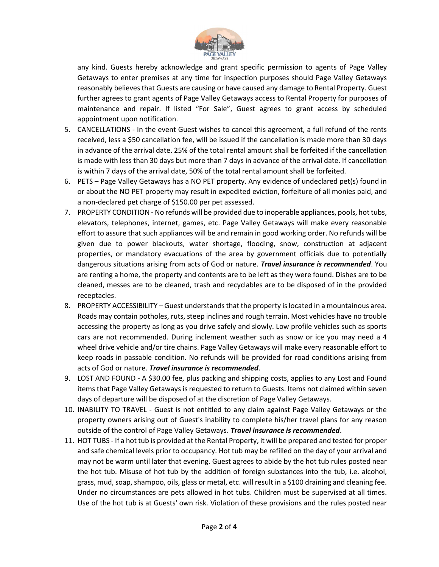

any kind. Guests hereby acknowledge and grant specific permission to agents of Page Valley Getaways to enter premises at any time for inspection purposes should Page Valley Getaways reasonably believes that Guests are causing or have caused any damage to Rental Property. Guest further agrees to grant agents of Page Valley Getaways access to Rental Property for purposes of maintenance and repair. If listed "For Sale", Guest agrees to grant access by scheduled appointment upon notification.

- 5. CANCELLATIONS In the event Guest wishes to cancel this agreement, a full refund of the rents received, less a \$50 cancellation fee, will be issued if the cancellation is made more than 30 days in advance of the arrival date. 25% of the total rental amount shall be forfeited if the cancellation is made with less than 30 days but more than 7 days in advance of the arrival date. If cancellation is within 7 days of the arrival date, 50% of the total rental amount shall be forfeited.
- 6. PETS Page Valley Getaways has a NO PET property. Any evidence of undeclared pet(s) found in or about the NO PET property may result in expedited eviction, forfeiture of all monies paid, and a non-declared pet charge of \$150.00 per pet assessed.
- 7. PROPERTY CONDITION No refunds will be provided due to inoperable appliances, pools, hot tubs, elevators, telephones, internet, games, etc. Page Valley Getaways will make every reasonable effort to assure that such appliances will be and remain in good working order. No refunds will be given due to power blackouts, water shortage, flooding, snow, construction at adjacent properties, or mandatory evacuations of the area by government officials due to potentially dangerous situations arising from acts of God or nature. Travel insurance is recommended. You are renting a home, the property and contents are to be left as they were found. Dishes are to be cleaned, messes are to be cleaned, trash and recyclables are to be disposed of in the provided receptacles.
- 8. PROPERTY ACCESSIBILITY Guest understands that the property is located in a mountainous area. Roads may contain potholes, ruts, steep inclines and rough terrain. Most vehicles have no trouble accessing the property as long as you drive safely and slowly. Low profile vehicles such as sports cars are not recommended. During inclement weather such as snow or ice you may need a 4 wheel drive vehicle and/or tire chains. Page Valley Getaways will make every reasonable effort to keep roads in passable condition. No refunds will be provided for road conditions arising from acts of God or nature. Travel insurance is recommended.
- 9. LOST AND FOUND A \$30.00 fee, plus packing and shipping costs, applies to any Lost and Found items that Page Valley Getaways is requested to return to Guests. Items not claimed within seven days of departure will be disposed of at the discretion of Page Valley Getaways.
- 10. INABILITY TO TRAVEL Guest is not entitled to any claim against Page Valley Getaways or the property owners arising out of Guest's inability to complete his/her travel plans for any reason outside of the control of Page Valley Getaways. Travel insurance is recommended.
- 11. HOT TUBS If a hot tub is provided at the Rental Property, it will be prepared and tested for proper and safe chemical levels prior to occupancy. Hot tub may be refilled on the day of your arrival and may not be warm until later that evening. Guest agrees to abide by the hot tub rules posted near the hot tub. Misuse of hot tub by the addition of foreign substances into the tub, i.e. alcohol, grass, mud, soap, shampoo, oils, glass or metal, etc. will result in a \$100 draining and cleaning fee. Under no circumstances are pets allowed in hot tubs. Children must be supervised at all times. Use of the hot tub is at Guests' own risk. Violation of these provisions and the rules posted near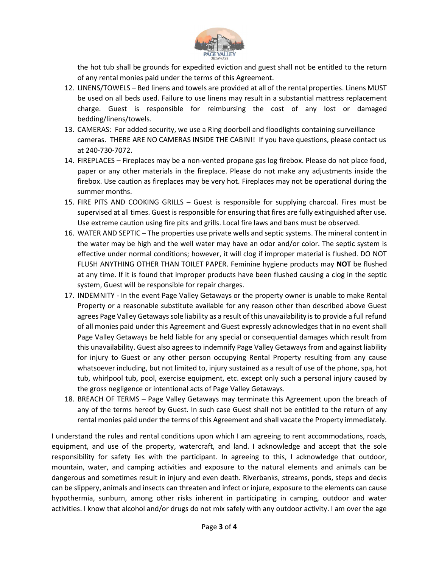

the hot tub shall be grounds for expedited eviction and guest shall not be entitled to the return of any rental monies paid under the terms of this Agreement.

- 12. LINENS/TOWELS Bed linens and towels are provided at all of the rental properties. Linens MUST be used on all beds used. Failure to use linens may result in a substantial mattress replacement charge. Guest is responsible for reimbursing the cost of any lost or damaged bedding/linens/towels.
- 13. CAMERAS: For added security, we use a Ring doorbell and floodlights containing surveillance cameras. THERE ARE NO CAMERAS INSIDE THE CABIN!! If you have questions, please contact us at 240-730-7072.
- 14. FIREPLACES Fireplaces may be a non-vented propane gas log firebox. Please do not place food, paper or any other materials in the fireplace. Please do not make any adjustments inside the firebox. Use caution as fireplaces may be very hot. Fireplaces may not be operational during the summer months.
- 15. FIRE PITS AND COOKING GRILLS Guest is responsible for supplying charcoal. Fires must be supervised at all times. Guest is responsible for ensuring that fires are fully extinguished after use. Use extreme caution using fire pits and grills. Local fire laws and bans must be observed.
- 16. WATER AND SEPTIC The properties use private wells and septic systems. The mineral content in the water may be high and the well water may have an odor and/or color. The septic system is effective under normal conditions; however, it will clog if improper material is flushed. DO NOT FLUSH ANYTHING OTHER THAN TOILET PAPER. Feminine hygiene products may NOT be flushed at any time. If it is found that improper products have been flushed causing a clog in the septic system, Guest will be responsible for repair charges.
- 17. INDEMNITY In the event Page Valley Getaways or the property owner is unable to make Rental Property or a reasonable substitute available for any reason other than described above Guest agrees Page Valley Getaways sole liability as a result of this unavailability is to provide a full refund of all monies paid under this Agreement and Guest expressly acknowledges that in no event shall Page Valley Getaways be held liable for any special or consequential damages which result from this unavailability. Guest also agrees to indemnify Page Valley Getaways from and against liability for injury to Guest or any other person occupying Rental Property resulting from any cause whatsoever including, but not limited to, injury sustained as a result of use of the phone, spa, hot tub, whirlpool tub, pool, exercise equipment, etc. except only such a personal injury caused by the gross negligence or intentional acts of Page Valley Getaways.
- 18. BREACH OF TERMS Page Valley Getaways may terminate this Agreement upon the breach of any of the terms hereof by Guest. In such case Guest shall not be entitled to the return of any rental monies paid under the terms of this Agreement and shall vacate the Property immediately.

I understand the rules and rental conditions upon which I am agreeing to rent accommodations, roads, equipment, and use of the property, watercraft, and land. I acknowledge and accept that the sole responsibility for safety lies with the participant. In agreeing to this, I acknowledge that outdoor, mountain, water, and camping activities and exposure to the natural elements and animals can be dangerous and sometimes result in injury and even death. Riverbanks, streams, ponds, steps and decks can be slippery, animals and insects can threaten and infect or injure, exposure to the elements can cause hypothermia, sunburn, among other risks inherent in participating in camping, outdoor and water activities. I know that alcohol and/or drugs do not mix safely with any outdoor activity. I am over the age